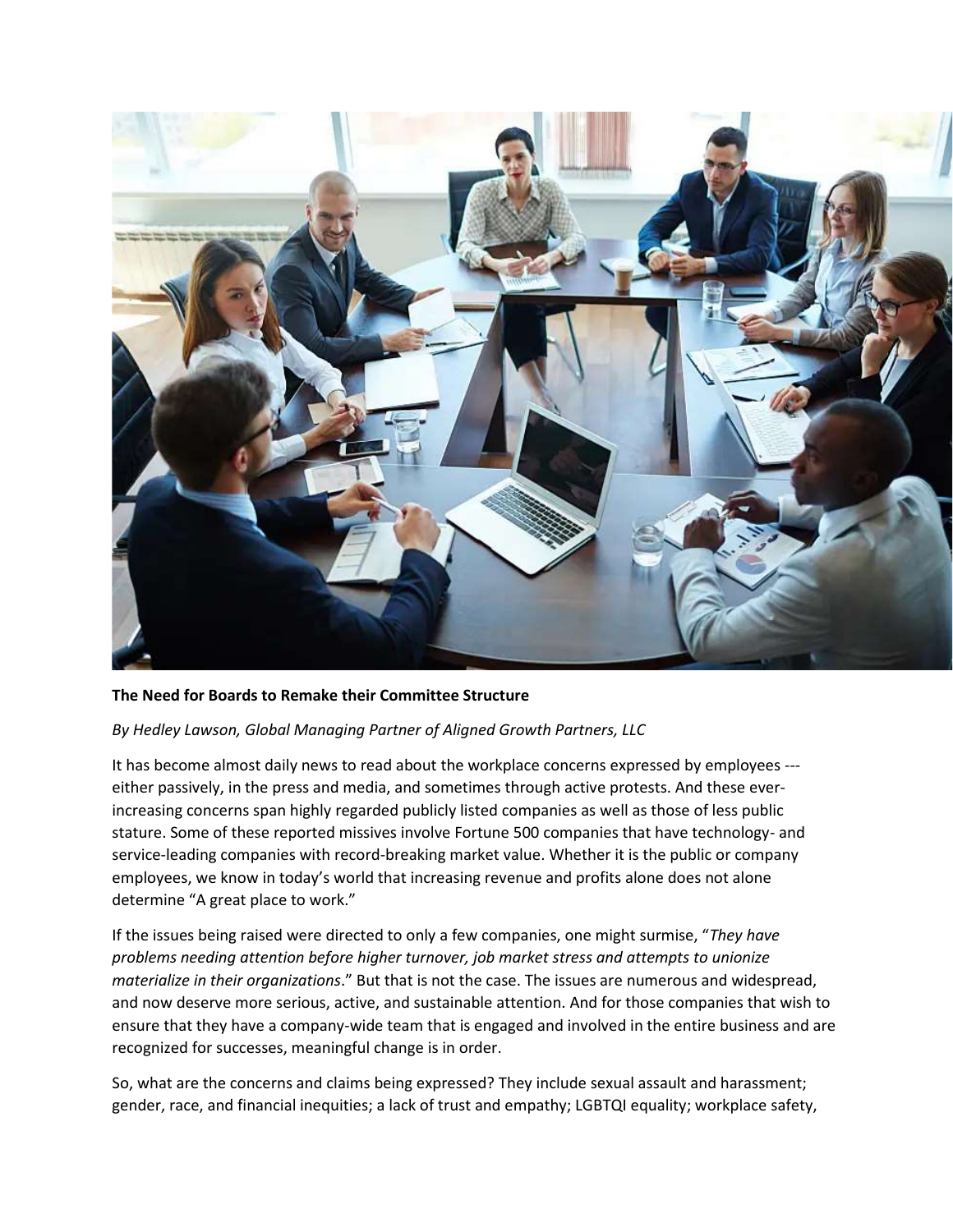

# **The Need for Boards to Remake their Committee Structure**

# *By Hedley Lawson, Global Managing Partner of Aligned Growth Partners, LLC*

It has become almost daily news to read about the workplace concerns expressed by employees -- either passively, in the press and media, and sometimes through active protests. And these everincreasing concerns span highly regarded publicly listed companies as well as those of less public stature. Some of these reported missives involve Fortune 500 companies that have technology- and service-leading companies with record-breaking market value. Whether it is the public or company employees, we know in today's world that increasing revenue and profits alone does not alone determine "A great place to work."

If the issues being raised were directed to only a few companies, one might surmise, "*They have problems needing attention before higher turnover, job market stress and attempts to unionize materialize in their organizations*." But that is not the case. The issues are numerous and widespread, and now deserve more serious, active, and sustainable attention. And for those companies that wish to ensure that they have a company-wide team that is engaged and involved in the entire business and are recognized for successes, meaningful change is in order.

So, what are the concerns and claims being expressed? They include sexual assault and harassment; gender, race, and financial inequities; a lack of trust and empathy; LGBTQI equality; workplace safety,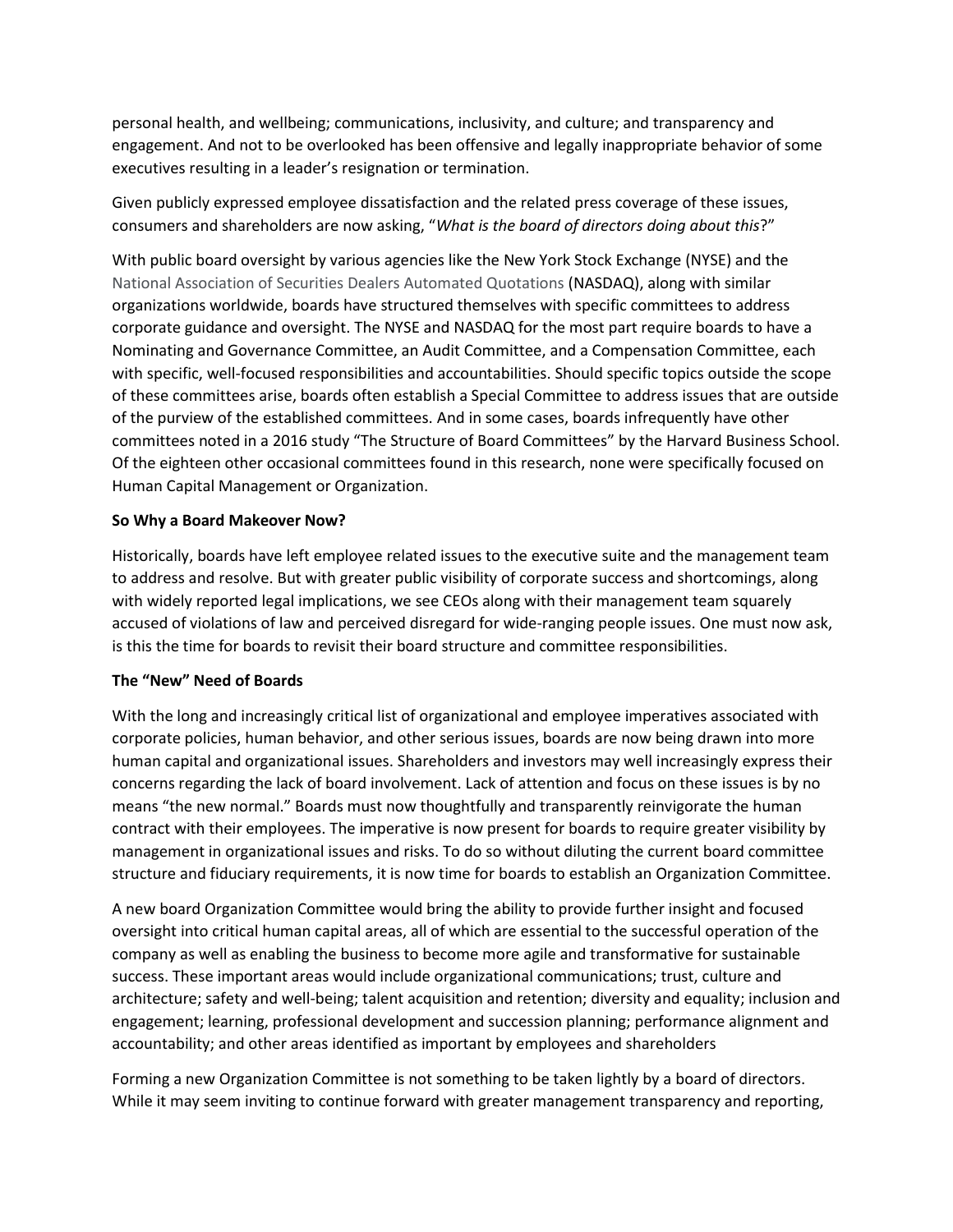personal health, and wellbeing; communications, inclusivity, and culture; and transparency and engagement. And not to be overlooked has been offensive and legally inappropriate behavior of some executives resulting in a leader's resignation or termination.

Given publicly expressed employee dissatisfaction and the related press coverage of these issues, consumers and shareholders are now asking, "*What is the board of directors doing about this*?"

With public board oversight by various agencies like the New York Stock Exchange (NYSE) and the National Association of Securities Dealers Automated Quotations (NASDAQ), along with similar organizations worldwide, boards have structured themselves with specific committees to address corporate guidance and oversight. The NYSE and NASDAQ for the most part require boards to have a Nominating and Governance Committee, an Audit Committee, and a Compensation Committee, each with specific, well-focused responsibilities and accountabilities. Should specific topics outside the scope of these committees arise, boards often establish a Special Committee to address issues that are outside of the purview of the established committees. And in some cases, boards infrequently have other committees noted in a 2016 study "The Structure of Board Committees" by the Harvard Business School. Of the eighteen other occasional committees found in this research, none were specifically focused on Human Capital Management or Organization.

# **So Why a Board Makeover Now?**

Historically, boards have left employee related issues to the executive suite and the management team to address and resolve. But with greater public visibility of corporate success and shortcomings, along with widely reported legal implications, we see CEOs along with their management team squarely accused of violations of law and perceived disregard for wide-ranging people issues. One must now ask, is this the time for boards to revisit their board structure and committee responsibilities.

# **The "New" Need of Boards**

With the long and increasingly critical list of organizational and employee imperatives associated with corporate policies, human behavior, and other serious issues, boards are now being drawn into more human capital and organizational issues. Shareholders and investors may well increasingly express their concerns regarding the lack of board involvement. Lack of attention and focus on these issues is by no means "the new normal." Boards must now thoughtfully and transparently reinvigorate the human contract with their employees. The imperative is now present for boards to require greater visibility by management in organizational issues and risks. To do so without diluting the current board committee structure and fiduciary requirements, it is now time for boards to establish an Organization Committee.

A new board Organization Committee would bring the ability to provide further insight and focused oversight into critical human capital areas, all of which are essential to the successful operation of the company as well as enabling the business to become more agile and transformative for sustainable success. These important areas would include organizational communications; trust, culture and architecture; safety and well-being; talent acquisition and retention; diversity and equality; inclusion and engagement; learning, professional development and succession planning; performance alignment and accountability; and other areas identified as important by employees and shareholders

Forming a new Organization Committee is not something to be taken lightly by a board of directors. While it may seem inviting to continue forward with greater management transparency and reporting,